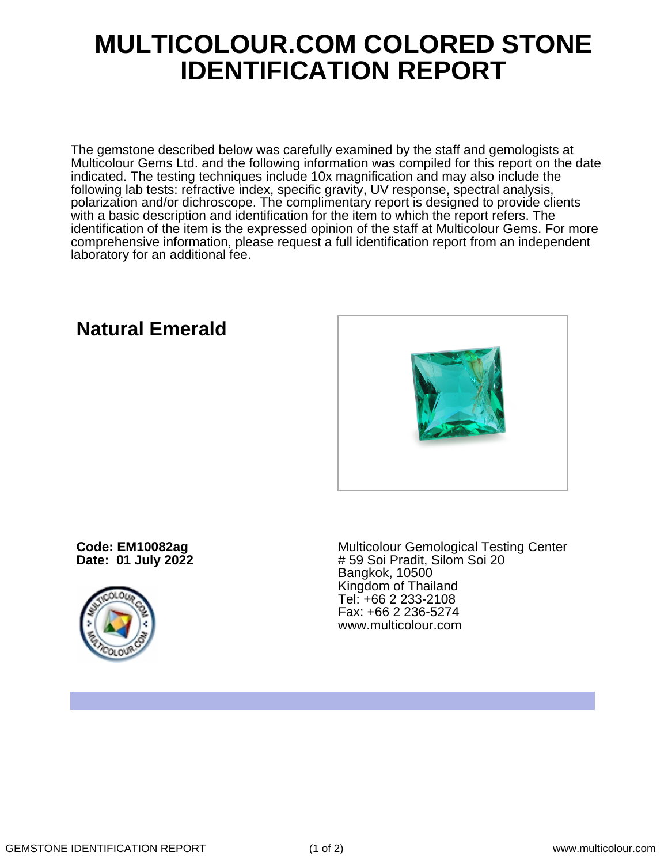## **MULTICOLOUR.COM COLORED STONE IDENTIFICATION REPORT**

The gemstone described below was carefully examined by the staff and gemologists at Multicolour Gems Ltd. and the following information was compiled for this report on the date indicated. The testing techniques include 10x magnification and may also include the following lab tests: refractive index, specific gravity, UV response, spectral analysis, polarization and/or dichroscope. The complimentary report is designed to provide clients with a basic description and identification for the item to which the report refers. The identification of the item is the expressed opinion of the staff at Multicolour Gems. For more comprehensive information, please request a full identification report from an independent laboratory for an additional fee.



## **Natural Emerald**

**Code: EM10082ag Date: 01 July 2022**



Multicolour Gemological Testing Center # 59 Soi Pradit, Silom Soi 20 Bangkok, 10500 Kingdom of Thailand Tel: +66 2 233-2108 Fax: +66 2 236-5274 www.multicolour.com